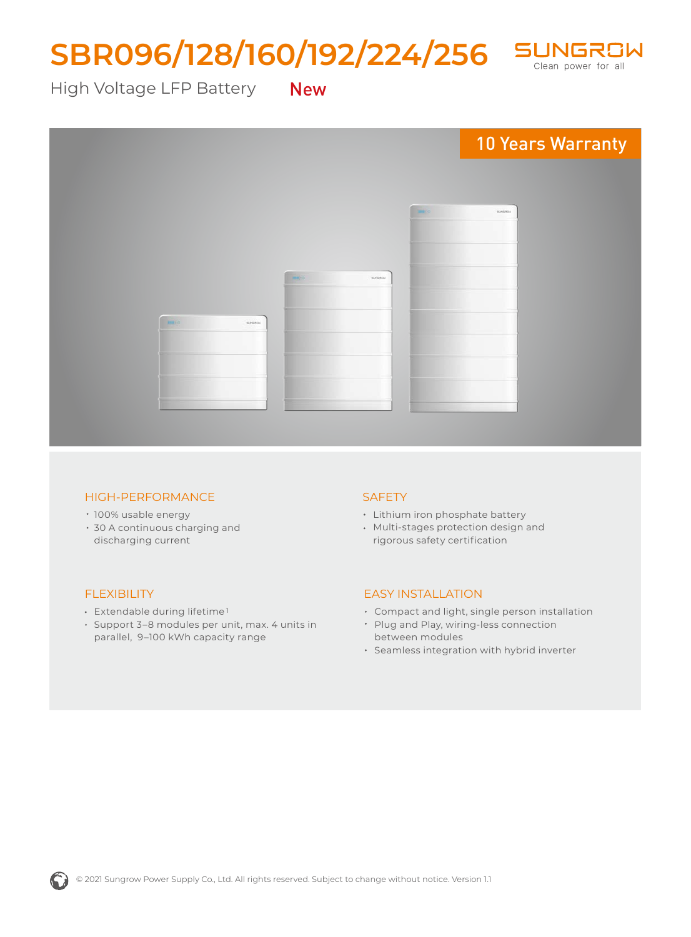# SBR096/128/160/192/224/256 SUNGRSW



High Voltage LFP Battery New



#### HIGH-PERFORMANCE

- 100% usable energy
- 30 A continuous charging and discharging current

### FLEXIBILITY

- Extendable during lifetime 1
- Support 3–8 modules per unit, max. 4 units in parallel, 9–100 kWh capacity range

### **SAFETY**

- Lithium iron phosphate battery
- Multi-stages protection design and rigorous safety certification

### EASY INSTALLATION

- Compact and light, single person installation
- Plug and Play, wiring-less connection between modules
- Seamless integration with hybrid inverter